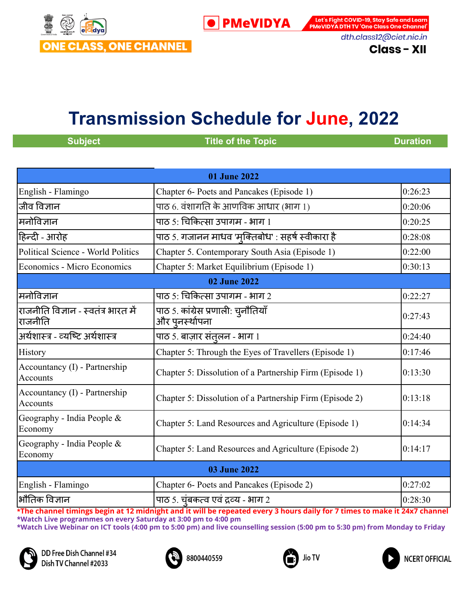

Let's Fight COVID-19, Stay Safe and Learn **PMeVIDYA DTH TV 'One Class One Channel'** dth.class12@ciet.nic.in

**Class - XII** 

# **Transmission Schedule for June, 2022**

**Subject CONSUMPERIES <b>Transfer CONSUMPERIES Duration Duration** 

**NCERT OFFICIAL** 

| <b>01 June 2022</b>                            |                                                                          |         |
|------------------------------------------------|--------------------------------------------------------------------------|---------|
| English - Flamingo                             | Chapter 6- Poets and Pancakes (Episode 1)                                | 0:26:23 |
| जीव विज्ञान                                    | पाठ 6. वंशागति के आणविक आधार (भाग 1)                                     | 0:20:06 |
| मनोविज्ञान                                     | पाठ 5: चिकित्सा उपागम - भाग 1                                            | 0:20:25 |
| हिन्दी - आरोह                                  | पाठ 5. गजानन माधव 'मुक्तिबोध' : सहर्ष स्वीकारा है                        | 0:28:08 |
| Political Science - World Politics             | Chapter 5. Contemporary South Asia (Episode 1)                           | 0:22:00 |
| Economics - Micro Economics                    | Chapter 5: Market Equilibrium (Episode 1)                                | 0:30:13 |
|                                                | <b>02 June 2022</b>                                                      |         |
| मनोविज्ञान                                     | पाठ 5: चिकित्सा उपागम - भाग 2                                            | 0:22:27 |
| राजनीति विज्ञान - स्वतंत्र भारत में<br>राजनीति | पाठ 5. कांग्रेस प्रणाली: चुनौतियाँ<br>और पुनर्स्थापना                    | 0:27:43 |
| अर्थशास्त्र - व्यष्टि अर्थशास्त्र              | पाठ 5. बाज़ार संतुलन - भाग 1                                             | 0:24:40 |
| History                                        | Chapter 5: Through the Eyes of Travellers (Episode 1)                    | 0:17:46 |
| Accountancy (I) - Partnership<br>Accounts      | Chapter 5: Dissolution of a Partnership Firm (Episode 1)                 | 0:13:30 |
| Accountancy (I) - Partnership<br>Accounts      | Chapter 5: Dissolution of a Partnership Firm (Episode 2)                 | 0:13:18 |
| Geography - India People &<br>Economy          | Chapter 5: Land Resources and Agriculture (Episode 1)                    | 0:14:34 |
| Geography - India People $\&$<br>Economy       | Chapter 5: Land Resources and Agriculture (Episode 2)                    | 0:14:17 |
| <b>03 June 2022</b>                            |                                                                          |         |
| English - Flamingo                             | Chapter 6- Poets and Pancakes (Episode 2)                                | 0:27:02 |
| भौतिक विज्ञान                                  | <u>पाठ 5. च</u> ुंबकत्व एवं द्रव्य - भाग 2<br>an William and The Mark Ba | 0:28:30 |





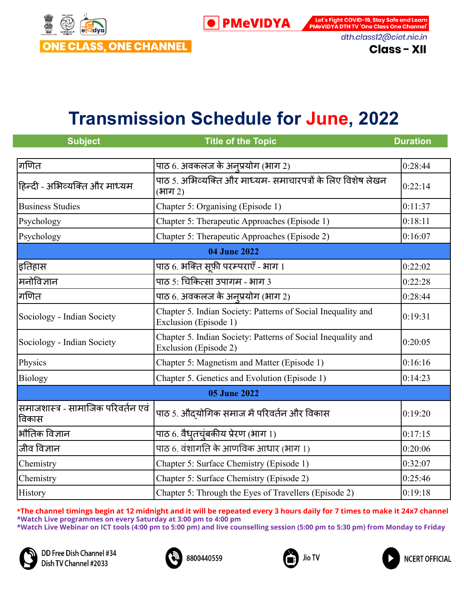

Let's Fight COVID-19, Stay Safe and Learn **PMeVIDYA DTH TV 'One Class One Channel'** dth.class12@ciet.nic.in

**Class - XII** 

### **Transmission Schedule for June, 2022**

| <b>Subject</b>                              | <b>Title of the Topic</b>                                                             | <b>Duration</b> |
|---------------------------------------------|---------------------------------------------------------------------------------------|-----------------|
| गणित                                        | पाठ 6. अवकलज के अनूप्रयोग (भाग 2)                                                     | 0:28:44         |
| हिन्दी - अभिव्यक्ति और माध्यम               | पाठ 5. अभिव्यक्ति और माध्यम- समाचारपत्रों के लिए विशेष लेखन<br>(भाग 2)                | 0:22:14         |
| <b>Business Studies</b>                     | Chapter 5: Organising (Episode 1)                                                     | 0:11:37         |
| Psychology                                  | Chapter 5: Therapeutic Approaches (Episode 1)                                         | 0:18:11         |
| Psychology                                  | Chapter 5: Therapeutic Approaches (Episode 2)                                         | 0:16:07         |
|                                             | <b>04 June 2022</b>                                                                   |                 |
| इतिहास                                      |                                                                                       | 0:22:02         |
| मनोविज्ञान                                  | पाठ 5: चिकित्सा उपागम - भाग 3                                                         | 0:22:28         |
| गणित                                        | पाठ 6. अवकलज के अनूप्रयोग (भाग 2)                                                     | 0:28:44         |
| Sociology - Indian Society                  | Chapter 5. Indian Society: Patterns of Social Inequality and<br>Exclusion (Episode 1) | 0:19:31         |
| Sociology - Indian Society                  | Chapter 5. Indian Society: Patterns of Social Inequality and<br>Exclusion (Episode 2) | 0:20:05         |
| Physics                                     | Chapter 5: Magnetism and Matter (Episode 1)                                           | 0:16:16         |
| Biology                                     | Chapter 5. Genetics and Evolution (Episode 1)                                         | 0:14:23         |
| <b>05 June 2022</b>                         |                                                                                       |                 |
| समाजशास्त्र - सामाजिक परिवर्तन एवं<br>विकास | पाठ 5. औदयोगिक समाज में परिवर्तन और विकास                                             | 0:19:20         |
| भौतिक विज्ञान                               | पाठ 6. वैधृतचूंबकीय प्रेरण (भाग 1)                                                    | 0:17:15         |
| जीव विज्ञान                                 | पाठ 6. वंशागति के आणविक आधार (भाग 1)                                                  | 0:20:06         |
| Chemistry                                   | Chapter 5: Surface Chemistry (Episode 1)                                              | 0:32:07         |
| Chemistry                                   | Chapter 5: Surface Chemistry (Episode 2)                                              | 0:25:46         |
| History                                     | Chapter 5: Through the Eyes of Travellers (Episode 2)                                 | 0:19:18         |

\*The channel timings begin at 12 midnight and it will be repeated every 3 hours daily for 7 times to make it 24x7 channel **\*Watch Live programmes on every Saturday at 3:00 pm to 4:00 pm \*Watch Live Webinar on ICT tools (4:00 pm to 5:00 pm) and live counselling session (5:00 pm to 5:30 pm) from Monday to Friday**





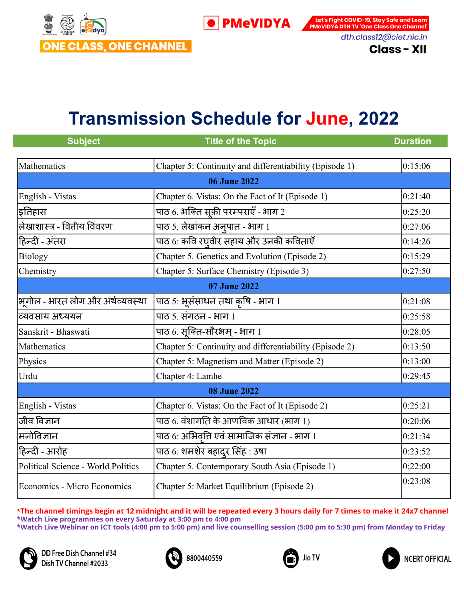

Let's Fight COVID-19, Stay Safe and Learn **PMeVIDYA DTH TV 'One Class One Channel'** dth.class12@ciet.nic.in

**Class - XII** 

## **Transmission Schedule for June, 2022**

| <b>Subject</b>                     | <b>Title of the Topic</b>                               | <b>Duration</b> |
|------------------------------------|---------------------------------------------------------|-----------------|
| Mathematics                        | Chapter 5: Continuity and differentiability (Episode 1) | 0:15:06         |
|                                    | <b>06 June 2022</b>                                     |                 |
| English - Vistas                   | Chapter 6. Vistas: On the Fact of It (Episode 1)        | 0:21:40         |
| इतिहास                             | पाठ 6. भक्ति सूफ़ी परम्पराएँ - भाग 2                    | 0:25:20         |
| लेखाशास्त्र - वित्तीय विवरण        | पाठ 5. लेखांकन अनुपात - भाग 1                           | 0:27:06         |
| हिन्दी - अंतरा                     | पाठ 6: कवि रघ्वीर सहाय और उनकी कविताएँ                  | 0:14:26         |
| <b>Biology</b>                     | Chapter 5. Genetics and Evolution (Episode 2)           | 0:15:29         |
| Chemistry                          | Chapter 5: Surface Chemistry (Episode 3)                | 0:27:50         |
| 07 June 2022                       |                                                         |                 |
| भूगोल - भारत लोग और अर्थव्यवस्था   | पाठ 5: भूसंसाधन तथा कृषि - भाग 1                        | 0:21:08         |
| व्यवसाय अध्ययन                     | पाठ ५. संगठन - भाग १                                    | 0:25:58         |
| Sanskrit - Bhaswati                | पाठ 6. सूक्ति-सौरभम् - भाग 1                            | 0:28:05         |
| Mathematics                        | Chapter 5: Continuity and differentiability (Episode 2) | 0:13:50         |
| Physics                            | Chapter 5: Magnetism and Matter (Episode 2)             | 0:13:00         |
| Urdu                               | Chapter 4: Lamhe                                        | 0:29:45         |
|                                    | <b>08 June 2022</b>                                     |                 |
| English - Vistas                   | Chapter 6. Vistas: On the Fact of It (Episode 2)        | 0:25:21         |
| जीव विज्ञान                        | पाठ 6. वंशागति के आणविक आधार (भाग 1)                    | 0:20:06         |
| मनोविज्ञान                         | पाठ 6: अभिवृत्ति एवं सामाजिक संज्ञान - भाग 1            | 0:21:34         |
| हिन्दी - आरोह                      | पाठ 6. शमशेर बहादुर सिंह : उषा                          | 0:23:52         |
| Political Science - World Politics | Chapter 5. Contemporary South Asia (Episode 1)          | 0:22:00         |
| Economics - Micro Economics        | Chapter 5: Market Equilibrium (Episode 2)               | 0:23:08         |

\*The channel timings begin at 12 midnight and it will be repeated every 3 hours daily for 7 times to make it 24x7 channel **\*Watch Live programmes on every Saturday at 3:00 pm to 4:00 pm \*Watch Live Webinar on ICT tools (4:00 pm to 5:00 pm) and live counselling session (5:00 pm to 5:30 pm) from Monday to Friday**



DD Free Dish Channel #34 Dish TV Channel #2033





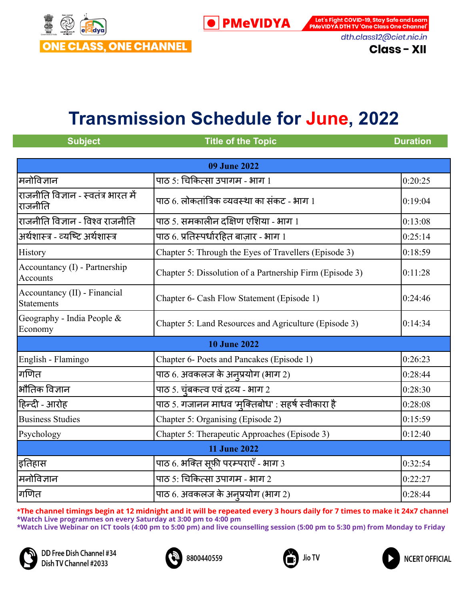

Let's Fight COVID-19, Stay Safe and Learn **PMeVIDYA** 

**PMeVIDYA DTH TV 'One Class One Channel'** dth.class12@ciet.nic.in

**Class - XII** 

# **Transmission Schedule for June, 2022**

| <b>Subject</b>                                    | <b>Title of the Topic</b>                                | <b>Duration</b> |
|---------------------------------------------------|----------------------------------------------------------|-----------------|
|                                                   |                                                          |                 |
|                                                   | <b>09 June 2022</b>                                      |                 |
| मनोविज्ञान                                        | पाठ 5: चिकित्सा उपागम - भाग 1                            | 0:20:25         |
| राजनीति विज्ञान - स्वतंत्र भारत में<br>राजनीति    | पाठ 6. लोकतांत्रिक व्यवस्था का संकट - भाग 1              | 0:19:04         |
| राजनीति विज्ञान - विश्व राजनीति                   | पाठ 5. समकालीन दक्षिण एशिया - भाग 1                      | 0:13:08         |
| अर्थशास्त्र - व्यष्टि अर्थशास्त्र                 | पाठ 6. प्रतिस्पर्धारहित बाज़ार - भाग 1                   | 0:25:14         |
| History                                           | Chapter 5: Through the Eyes of Travellers (Episode 3)    | 0:18:59         |
| Accountancy (I) - Partnership<br><b>Accounts</b>  | Chapter 5: Dissolution of a Partnership Firm (Episode 3) | 0:11:28         |
| Accountancy (II) - Financial<br><b>Statements</b> | Chapter 6- Cash Flow Statement (Episode 1)               | 0:24:46         |
| Geography - India People $&$<br>Economy           | Chapter 5: Land Resources and Agriculture (Episode 3)    | 0:14:34         |
|                                                   | <b>10 June 2022</b>                                      |                 |
| English - Flamingo                                | Chapter 6- Poets and Pancakes (Episode 1)                | 0:26:23         |
| गणित                                              | पाठ 6. अवकलज के अनुप्रयोग (भाग 2)                        | 0:28:44         |
| भौतिक विज्ञान                                     | पाठ 5. चूंबकत्व एवं द्रव्य - भाग 2                       | 0:28:30         |
| हिन्दी - आरोह                                     | पाठ 5. गजानन माधव 'मुक्तिबोध' : सहर्ष स्वीकारा है        | 0:28:08         |
| <b>Business Studies</b>                           | Chapter 5: Organising (Episode 2)                        | 0:15:59         |
| Psychology                                        | Chapter 5: Therapeutic Approaches (Episode 3)            | 0:12:40         |
| <b>11 June 2022</b>                               |                                                          |                 |
| इतिहास                                            | पाठ 6. भक्ति सूफ़ी परम्पराएँ - भाग 3                     | 0:32:54         |
| मनोविज्ञान                                        | पाठ 5: चिकित्सा उपागम - भाग 2                            | 0:22:27         |
| गणित                                              | पाठ 6. अवकलज के अनुप्रयोग (भाग 2)                        | 0:28:44         |







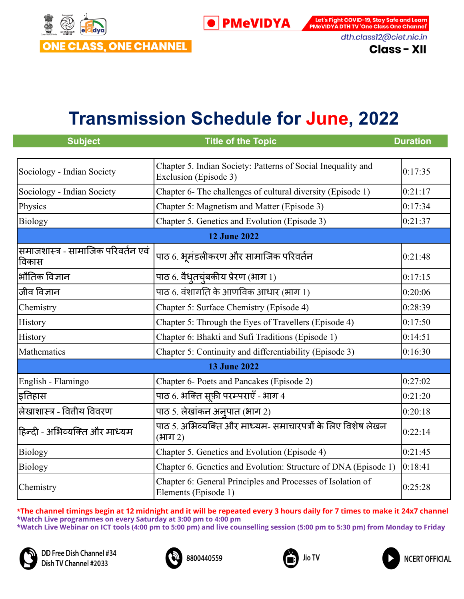

Let's Fight COVID-19, Stay Safe and Learn **PMeVIDYA DTH TV 'One Class One Channel'** dth.class12@ciet.nic.in

**Class - XII** 

#### **Transmission Schedule for June, 2022**

| <b>Subject</b>                              | <b>Title of the Topic</b>                                                             | <b>Duration</b> |
|---------------------------------------------|---------------------------------------------------------------------------------------|-----------------|
| Sociology - Indian Society                  | Chapter 5. Indian Society: Patterns of Social Inequality and<br>Exclusion (Episode 3) | 0:17:35         |
| Sociology - Indian Society                  | Chapter 6- The challenges of cultural diversity (Episode 1)                           | 0:21:17         |
| Physics                                     | Chapter 5: Magnetism and Matter (Episode 3)                                           | 0:17:34         |
| <b>Biology</b>                              | Chapter 5. Genetics and Evolution (Episode 3)                                         | 0:21:37         |
|                                             | <b>12 June 2022</b>                                                                   |                 |
| समाजशास्त्र - सामाजिक परिवर्तन एवं<br>विकास | पाठ 6. भूमंडलीकरण और सामाजिक परिवर्तन                                                 | 0:21:48         |
| भौतिक विज्ञान                               | पाठ 6. वैधृतचूंबकीय प्रेरण (भाग 1)                                                    | 0:17:15         |
| जीव विज्ञान                                 | पाठ 6. वंशागति के आणविक आधार (भाग 1)                                                  | 0:20:06         |
| Chemistry                                   | Chapter 5: Surface Chemistry (Episode 4)                                              | 0:28:39         |
| History                                     | Chapter 5: Through the Eyes of Travellers (Episode 4)                                 | 0:17:50         |
| History                                     | Chapter 6: Bhakti and Sufi Traditions (Episode 1)                                     | 0:14:51         |
| Mathematics                                 | Chapter 5: Continuity and differentiability (Episode 3)                               | 0:16:30         |
|                                             | <b>13 June 2022</b>                                                                   |                 |
| English - Flamingo                          | Chapter 6- Poets and Pancakes (Episode 2)                                             | 0:27:02         |
| इतिहास                                      | पाठ 6. भक्ति सूफ़ी परम्पराएँ - भाग 4                                                  | 0:21:20         |
| लेखाशास्त्र - वितीय विवरण                   | पाठ 5. लेखांकन अनुपात (भाग 2)                                                         | 0:20:18         |
| हिन्दी - अभिव्यक्ति और माध्यम               | पाठ 5. अभिव्यक्ति और माध्यम- समाचारपत्रों के लिए विशेष लेखन<br>(भाग 2)                | 0:22:14         |
| <b>Biology</b>                              | Chapter 5. Genetics and Evolution (Episode 4)                                         | 0:21:45         |
| <b>Biology</b>                              | Chapter 6. Genetics and Evolution: Structure of DNA (Episode 1)                       | 0:18:41         |
| Chemistry                                   | Chapter 6: General Principles and Processes of Isolation of<br>Elements (Episode 1)   | 0:25:28         |

\*The channel timings begin at 12 midnight and it will be repeated every 3 hours daily for 7 times to make it 24x7 channel **\*Watch Live programmes on every Saturday at 3:00 pm to 4:00 pm \*Watch Live Webinar on ICT tools (4:00 pm to 5:00 pm) and live counselling session (5:00 pm to 5:30 pm) from Monday to Friday**







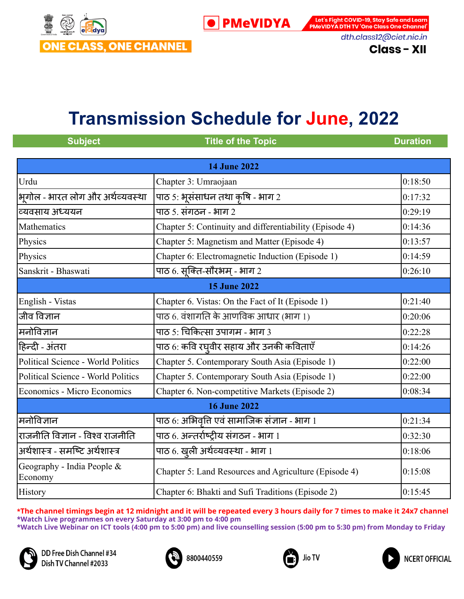

Let's Fight COVID-19, Stay Safe and Learn PMeVIDYA DTH TV 'One Class One Channel' dth.class12@ciet.nic.in

**Class - XII** 

## **Transmission Schedule for June, 2022**

| <b>Subject</b>                            | <b>Title of the Topic</b>                               | <b>Duration</b> |
|-------------------------------------------|---------------------------------------------------------|-----------------|
|                                           |                                                         |                 |
|                                           | <b>14 June 2022</b>                                     |                 |
| Urdu                                      | Chapter 3: Umraojaan                                    | 0:18:50         |
| भूगोल - भारत लोग और अर्थव्यवस्था          | पाठ 5: भूसंसाधन तथा कृषि - भाग 2                        | 0:17:32         |
| व्यवसाय अध्ययन                            | पाठ ५. संगठन - भाग २                                    | 0:29:19         |
| Mathematics                               | Chapter 5: Continuity and differentiability (Episode 4) | 0:14:36         |
| Physics                                   | Chapter 5: Magnetism and Matter (Episode 4)             | 0:13:57         |
| Physics                                   | Chapter 6: Electromagnetic Induction (Episode 1)        | 0:14:59         |
| Sanskrit - Bhaswati                       | पाठ 6. सूक्ति-सौरभम् - भाग 2                            | 0:26:10         |
|                                           | <b>15 June 2022</b>                                     |                 |
| English - Vistas                          | Chapter 6. Vistas: On the Fact of It (Episode 1)        | 0:21:40         |
| जीव विज्ञान                               | पाठ 6. वंशागति के आणविक आधार (भाग 1)                    | 0:20:06         |
| मनोविज्ञान                                | पाठ 5: चिकित्सा उपागम - भाग 3                           | 0:22:28         |
| हिन्दी - अंतरा                            | पाठ 6: कवि रघ्वीर सहाय और उनकी कविताएँ                  | 0:14:26         |
| <b>Political Science - World Politics</b> | Chapter 5. Contemporary South Asia (Episode 1)          | 0:22:00         |
| Political Science - World Politics        | Chapter 5. Contemporary South Asia (Episode 1)          | 0:22:00         |
| Economics - Micro Economics               | Chapter 6. Non-competitive Markets (Episode 2)          | 0:08:34         |
|                                           | <b>16 June 2022</b>                                     |                 |
| मनोविज्ञान                                | पाठ 6: अभिवृत्ति एवं सामाजिक संज्ञान - भाग 1            | 0:21:34         |
| राजनीति विज्ञान - विश्व राजनीति           | पाठ 6. अन्तर्राष्ट्रीय संगठन - भाग 1                    | 0:32:30         |
| अर्थशास्त्र - समष्टि अर्थशास्त्र          | पाठ 6. खुली अर्थव्यवस्था - भाग 1                        | 0:18:06         |
| Geography - India People &<br>Economy     | Chapter 5: Land Resources and Agriculture (Episode 4)   | 0:15:08         |
| <b>History</b>                            | Chapter 6: Bhakti and Sufi Traditions (Episode 2)       | 0:15:45         |







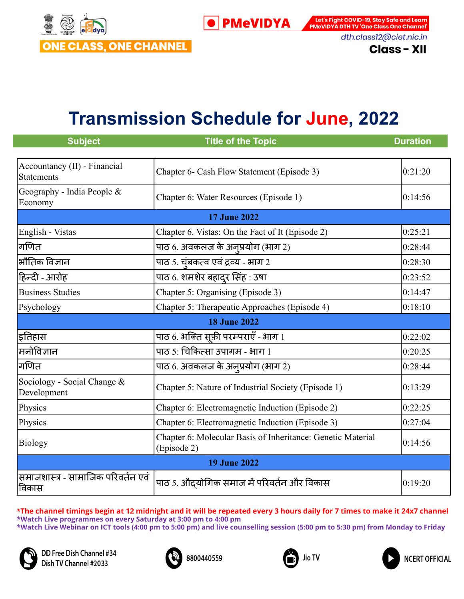

Let's Fight COVID-19, Stay Safe and Learn **PMeVIDYA DTH TV 'One Class One Channel'** dth.class12@ciet.nic.in

**Class - XII** 

# **Transmission Schedule for June, 2022**

| <b>Subject</b>                                    | <b>Title of the Topic</b>                                                  | <b>Duration</b> |
|---------------------------------------------------|----------------------------------------------------------------------------|-----------------|
| Accountancy (II) - Financial<br><b>Statements</b> | Chapter 6- Cash Flow Statement (Episode 3)                                 | 0:21:20         |
| Geography - India People &<br>Economy             | Chapter 6: Water Resources (Episode 1)                                     | 0:14:56         |
|                                                   | <b>17 June 2022</b>                                                        |                 |
| English - Vistas                                  | Chapter 6. Vistas: On the Fact of It (Episode 2)                           | 0:25:21         |
| गणित                                              | पाठ 6. अवकलज के अनुप्रयोग (भाग 2)                                          | 0:28:44         |
| भौतिक विज्ञान                                     | पाठ 5. चूंबकत्व एवं द्रव्य - भाग 2                                         | 0:28:30         |
| हिन्दी - आरोह                                     | पाठ 6. शमशेर बहादुर सिंह : उषा                                             | 0:23:52         |
| <b>Business Studies</b>                           | Chapter 5: Organising (Episode 3)                                          | 0:14:47         |
| Psychology                                        | Chapter 5: Therapeutic Approaches (Episode 4)                              | 0:18:10         |
|                                                   | <b>18 June 2022</b>                                                        |                 |
| इतिहास                                            | पाठ 6. भक्ति सूफ़ी परम्पराएँ - भाग 1                                       | 0:22:02         |
| मनोविज्ञान                                        | पाठ 5: चिकित्सा उपागम - भाग 1                                              | 0:20:25         |
| गणित                                              | पाठ 6. अवकलज के अनुप्रयोग (भाग 2)                                          | 0:28:44         |
| Sociology - Social Change &<br>Development        | Chapter 5: Nature of Industrial Society (Episode 1)                        | 0:13:29         |
| Physics                                           | Chapter 6: Electromagnetic Induction (Episode 2)                           | 0:22:25         |
| Physics                                           | Chapter 6: Electromagnetic Induction (Episode 3)                           | 0:27:04         |
| Biology                                           | Chapter 6: Molecular Basis of Inheritance: Genetic Material<br>(Episode 2) | 0:14:56         |
| <b>19 June 2022</b>                               |                                                                            |                 |
| समाजशास्त्र - सामाजिक परिवर्तन एवं<br>विकास       | पाठ 5. औद्योगिक समाज में परिवर्तन और विकास                                 | 0:19:20         |

\*The channel timings begin at 12 midnight and it will be repeated every 3 hours daily for 7 times to make it 24x7 channel **\*Watch Live programmes on every Saturday at 3:00 pm to 4:00 pm \*Watch Live Webinar on ICT tools (4:00 pm to 5:00 pm) and live counselling session (5:00 pm to 5:30 pm) from Monday to Friday**



DD Free Dish Channel #34 Dish TV Channel #2033





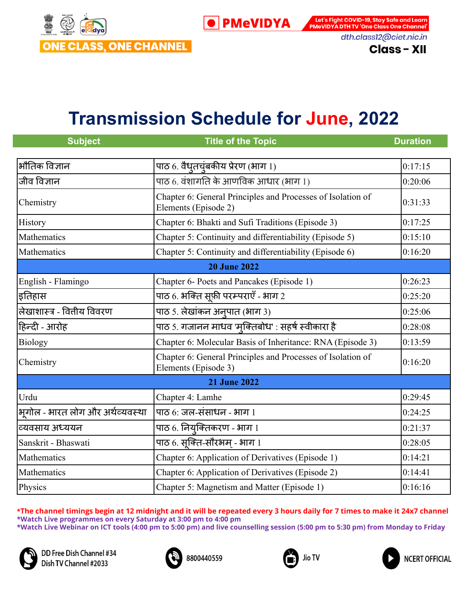

Let's Fight COVID-19, Stay Safe and Learn **PMeVIDYA DTH TV 'One Class One Channel'** dth.class12@ciet.nic.in

**Class - XII** 

## **Transmission Schedule for June, 2022**

| <b>Subject</b>                   | <b>Title of the Topic</b>                                                           | <b>Duration</b> |
|----------------------------------|-------------------------------------------------------------------------------------|-----------------|
|                                  |                                                                                     |                 |
| भौतिक विज्ञान                    | पाठ 6. वैधृतचूंबकीय प्रेरण (भाग 1)                                                  | 0:17:15         |
| जीव विज्ञान                      | पाठ 6. वंशागति के आणविक आधार (भाग 1)                                                | 0:20:06         |
| Chemistry                        | Chapter 6: General Principles and Processes of Isolation of<br>Elements (Episode 2) | 0:31:33         |
| History                          | Chapter 6: Bhakti and Sufi Traditions (Episode 3)                                   | 0:17:25         |
| Mathematics                      | Chapter 5: Continuity and differentiability (Episode 5)                             | 0:15:10         |
| Mathematics                      | Chapter 5: Continuity and differentiability (Episode 6)                             | 0:16:20         |
|                                  | <b>20 June 2022</b>                                                                 |                 |
| English - Flamingo               | Chapter 6- Poets and Pancakes (Episode 1)                                           | 0:26:23         |
| इतिहास                           | पाठ 6. भक्ति सूफ़ी परम्पराएँ - भाग 2                                                | 0:25:20         |
| लेखाशास्त्र - वितीय विवरण        | पाठ 5. लेखांकन अनुपात (भाग 3)                                                       | 0:25:06         |
| हिन्दी - आरोह                    | पाठ 5. गजानन माधव 'मुक्तिबोध' : सहर्ष स्वीकारा है                                   | 0:28:08         |
| <b>Biology</b>                   | Chapter 6: Molecular Basis of Inheritance: RNA (Episode 3)                          | 0:13:59         |
| Chemistry                        | Chapter 6: General Principles and Processes of Isolation of<br>Elements (Episode 3) | 0:16:20         |
|                                  | <b>21 June 2022</b>                                                                 |                 |
| Urdu                             | Chapter 4: Lamhe                                                                    | 0:29:45         |
| भूगोल - भारत लोग और अर्थव्यवस्था | पाठ $6:$ जल-संसाधन - भाग 1                                                          | 0:24:25         |
| व्यवसाय अध्ययन                   | पाठ 6. नियुक्तिकरण - भाग 1                                                          | 0:21:37         |
| Sanskrit - Bhaswati              | पाठ 6. सूक्ति-सौरभम् - भाग 1                                                        | 0:28:05         |
| Mathematics                      | Chapter 6: Application of Derivatives (Episode 1)                                   | 0:14:21         |
| Mathematics                      | Chapter 6: Application of Derivatives (Episode 2)                                   | 0:14:41         |
| Physics                          | Chapter 5: Magnetism and Matter (Episode 1)                                         | 0:16:16         |

\*The channel timings begin at 12 midnight and it will be repeated every 3 hours daily for 7 times to make it 24x7 channel **\*Watch Live programmes on every Saturday at 3:00 pm to 4:00 pm \*Watch Live Webinar on ICT tools (4:00 pm to 5:00 pm) and live counselling session (5:00 pm to 5:30 pm) from Monday to Friday**







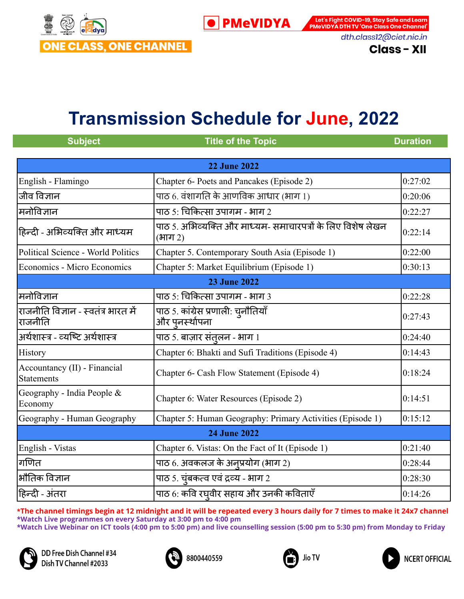

Let's Fight COVID-19, Stay Safe and Learn PMeVIDYA DTH TV 'One Class One Channel' dth.class12@ciet.nic.in

**Class - XII** 

# **Transmission Schedule for June, 2022**

| <b>Subject</b>                                    | <b>Title of the Topic</b>                                              | <b>Duration</b> |
|---------------------------------------------------|------------------------------------------------------------------------|-----------------|
|                                                   |                                                                        |                 |
|                                                   | <b>22 June 2022</b>                                                    |                 |
| English - Flamingo                                | Chapter 6- Poets and Pancakes (Episode 2)                              | 0:27:02         |
| जीव विज्ञान                                       | पाठ 6. वंशागति के आणविक आधार (भाग 1)                                   | 0:20:06         |
| मनोविज्ञान                                        | पाठ 5: चिकित्सा उपागम - भाग 2                                          | 0:22:27         |
| हिन्दी - अभिव्यक्ति और माध्यम                     | पाठ 5. अभिव्यक्ति और माध्यम- समाचारपत्रों के लिए विशेष लेखन<br>(भाग 2) | 0:22:14         |
| Political Science - World Politics                | Chapter 5. Contemporary South Asia (Episode 1)                         | 0:22:00         |
| Economics - Micro Economics                       | Chapter 5: Market Equilibrium (Episode 1)                              | 0:30:13         |
|                                                   | <b>23 June 2022</b>                                                    |                 |
| मनोविज्ञान                                        | पाठ 5: चिकित्सा उपागम - भाग 3                                          | 0:22:28         |
| राजनीति विज्ञान - स्वतंत्र भारत में<br>राजनीति    | पाठ 5. कांग्रेस प्रणाली: चुनौतियाँ<br>और पुनर्स्थापना                  | 0:27:43         |
| अर्थशास्त्र - व्यष्टि अर्थशास्त्र                 | पाठ 5. बाज़ार संतुलन - भाग 1                                           | 0:24:40         |
| History                                           | Chapter 6: Bhakti and Sufi Traditions (Episode 4)                      | 0:14:43         |
| Accountancy (II) - Financial<br><b>Statements</b> | Chapter 6- Cash Flow Statement (Episode 4)                             | 0:18:24         |
| Geography - India People &<br>Economy             | Chapter 6: Water Resources (Episode 2)                                 | 0:14:51         |
| Geography - Human Geography                       | Chapter 5: Human Geography: Primary Activities (Episode 1)             | 0:15:12         |
| <b>24 June 2022</b>                               |                                                                        |                 |
| English - Vistas                                  | Chapter 6. Vistas: On the Fact of It (Episode 1)                       | 0:21:40         |
| गणित                                              | पाठ 6. अवकलज के अन्पप्रयोग (भाग 2)                                     | 0:28:44         |
| भौतिक विज्ञान                                     | पाठ 5. चूंबकत्व एवं द्रव्य - भाग 2                                     | 0:28:30         |
| हिन्दी - अंतरा                                    | पाठ 6: कवि रघ्वीर सहाय और उनकी कविताएँ                                 | 0:14:26         |







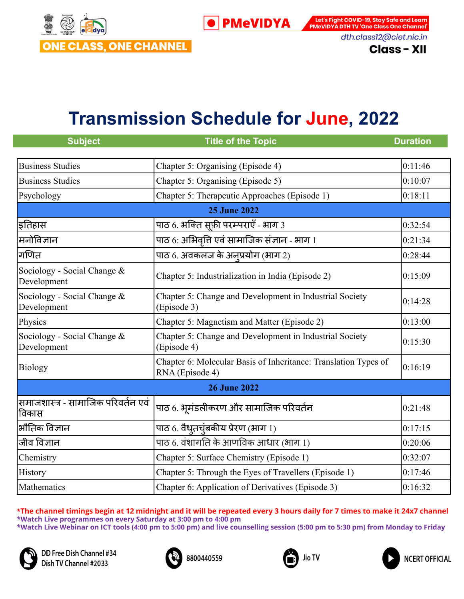

Let's Fight COVID-19, Stay Safe and Learn **PMeVIDYA DTH TV 'One Class One Channel'** dth.class12@ciet.nic.in

#### **Class - XII**

### **Transmission Schedule for June, 2022**

| <b>Subject</b>                              | <b>Title of the Topic</b>                                                          | <b>Duration</b> |
|---------------------------------------------|------------------------------------------------------------------------------------|-----------------|
| <b>Business Studies</b>                     | Chapter 5: Organising (Episode 4)                                                  | 0:11:46         |
| <b>Business Studies</b>                     | Chapter 5: Organising (Episode 5)                                                  | 0:10:07         |
| Psychology                                  | Chapter 5: Therapeutic Approaches (Episode 1)                                      | 0:18:11         |
|                                             | <b>25 June 2022</b>                                                                |                 |
| इतिहास                                      |                                                                                    | 0:32:54         |
| मिनोविज्ञान                                 | पाठ 6: अभिवृत्ति एवं सामाजिक संज्ञान - भाग 1                                       | 0:21:34         |
| गणित                                        | पाठ 6. अवकलज के अनुप्रयोग (भाग 2)                                                  | 0:28:44         |
| Sociology - Social Change &<br>Development  | Chapter 5: Industrialization in India (Episode 2)                                  | 0:15:09         |
| Sociology - Social Change &<br>Development  | Chapter 5: Change and Development in Industrial Society<br>(Episode 3)             | 0:14:28         |
| Physics                                     | Chapter 5: Magnetism and Matter (Episode 2)                                        | 0:13:00         |
| Sociology - Social Change &<br>Development  | Chapter 5: Change and Development in Industrial Society<br>(Episode 4)             | 0:15:30         |
| <b>Biology</b>                              | Chapter 6: Molecular Basis of Inheritance: Translation Types of<br>RNA (Episode 4) | 0:16:19         |
|                                             | <b>26 June 2022</b>                                                                |                 |
| समाजशास्त्र - सामाजिक परिवर्तन एवं<br>विकास | पाठ 6. भूमंडलीकरण और सामाजिक परिवर्तन                                              | 0:21:48         |
| भौतिक विज्ञान                               | पाठ 6. वैधृतचूंबकीय प्रेरण (भाग 1)                                                 | 0:17:15         |
| जीव विज्ञान                                 | पाठ 6. वंशागति के आणविक आधार (भाग 1)                                               | 0:20:06         |
| Chemistry                                   | Chapter 5: Surface Chemistry (Episode 1)                                           | 0:32:07         |
| History                                     | Chapter 5: Through the Eyes of Travellers (Episode 1)                              | 0:17:46         |
| Mathematics                                 | Chapter 6: Application of Derivatives (Episode 3)                                  | 0:16:32         |

\*The channel timings begin at 12 midnight and it will be repeated every 3 hours daily for 7 times to make it 24x7 channel **\*Watch Live programmes on every Saturday at 3:00 pm to 4:00 pm \*Watch Live Webinar on ICT tools (4:00 pm to 5:00 pm) and live counselling session (5:00 pm to 5:30 pm) from Monday to Friday**







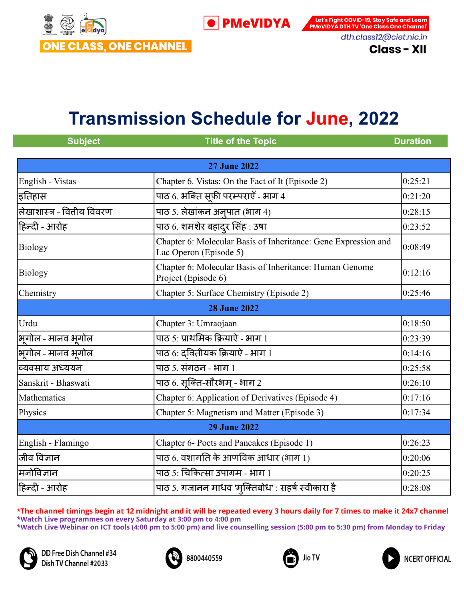

Let's Fight COVID-19, Stay Safe and Learn PMeVIDYA DTH TV 'One Class One Channel' dth.class12@ciet.nic.in

**Class - XII** 

# **Transmission Schedule for June, 2022**

| <b>Subject</b>              | <b>Title of the Topic</b>                                                                | <b>Duration</b> |
|-----------------------------|------------------------------------------------------------------------------------------|-----------------|
|                             |                                                                                          |                 |
|                             | <b>27 June 2022</b>                                                                      |                 |
| English - Vistas            | Chapter 6. Vistas: On the Fact of It (Episode 2)                                         | 0:25:21         |
| इतिहास                      | पाठ 6. भक्ति सूफ़ी परम्पराएँ - भाग 4                                                     | 0:21:20         |
| लेखाशास्त्र - वित्तीय विवरण | पाठ 5. लेखांकन अनुपात (भाग 4)                                                            | 0:28:15         |
| हिन्दी - आरोह               | पाठ 6. शमशेर बहादुर सिंह : उषा                                                           | 0:23:52         |
| Biology                     | Chapter 6: Molecular Basis of Inheritance: Gene Expression and<br>Lac Operon (Episode 5) | 0:08:49         |
| <b>Biology</b>              | Chapter 6: Molecular Basis of Inheritance: Human Genome<br>Project (Episode 6)           | 0:12:16         |
| Chemistry                   | Chapter 5: Surface Chemistry (Episode 2)                                                 | 0:25:46         |
|                             | <b>28 June 2022</b>                                                                      |                 |
| Urdu                        | Chapter 3: Umraojaan                                                                     | 0:18:50         |
| भूगोल - मानव भूगोल          | पाठ 5: प्राथमिक क्रियाऐ - भाग 1                                                          | 0:23:39         |
| भूगोल - मानव भूगोल          | पाठ $6$ : दवितीयक क्रियाऐ - भाग 1                                                        | 0:14:16         |
| व्यवसाय अध्ययन              | पाठ ५. संगठन - भाग १                                                                     | 0:25:58         |
| Sanskrit - Bhaswati         | पाठ 6. सूक्ति-सौरभम् - भाग 2                                                             | 0:26:10         |
| Mathematics                 | Chapter 6: Application of Derivatives (Episode 4)                                        | 0:17:16         |
| Physics                     | Chapter 5: Magnetism and Matter (Episode 3)                                              | 0:17:34         |
| <b>29 June 2022</b>         |                                                                                          |                 |
| English - Flamingo          | Chapter 6- Poets and Pancakes (Episode 1)                                                | 0:26:23         |
| जीव विज्ञान                 | पाठ 6. वंशागति के आणविक आधार (भाग 1)                                                     | 0:20:06         |
| मनोविज्ञान                  | पाठ 5: चिकित्सा उपागम - भाग 1                                                            | 0:20:25         |
| हिन्दी - आरोह               | पाठ 5. गजानन माधव 'मुक्तिबोध' : सहर्ष स्वीकारा है                                        | 0:28:08         |

\*The channel timings begin at 12 midnight and it will be repeated every 3 hours daily for 7 times to make it 24x7 channel **\*Watch Live programmes on every Saturday at 3:00 pm to 4:00 pm \*Watch Live Webinar on ICT tools (4:00 pm to 5:00 pm) and live counselling session (5:00 pm to 5:30 pm) from Monday to Friday**